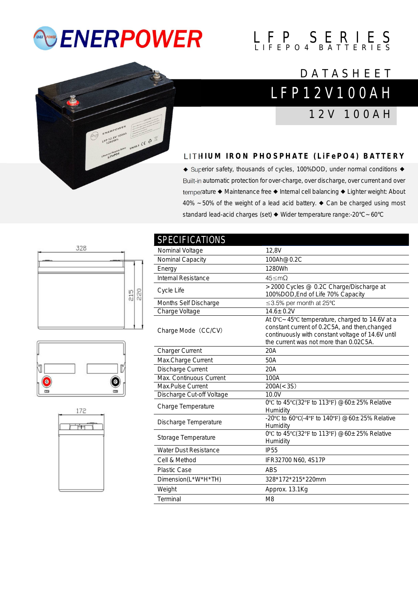# *<b>ENERPOWER*

# $L$   $F$   $P$   $S$   $E$   $R$   $I$   $E$   $S$

### L F P 1 2 V 1 0 0 A H **DATASHEET**

1 2 V 1 0 0 A H



### **LITHIUM IRON PHOSPHATE (LIFEPO4) BATTERY**

◆ Superior safety, thousands of cycles, 100%DOD, under normal conditions ◆ Built-in automatic protection for over-charge, over discharge, over current and over temperature ◆ Maintenance free ◆ Internal cell balancing ◆ Lighter weight: About 40% ~50% of the weight of a lead acid battery. ◆ Can be charged using most standard lead-acid charges (set) ◆ Wider temperature range:-20°C~60°C







| <b>SPECIFICATIONS</b>        |                                                                                                                                                                                                  |
|------------------------------|--------------------------------------------------------------------------------------------------------------------------------------------------------------------------------------------------|
| Nominal Voltage              | 12,8V                                                                                                                                                                                            |
| Nominal Capacity             | 100Ah@0.2C                                                                                                                                                                                       |
| Energy                       | 1280Wh                                                                                                                                                                                           |
| Internal Resistance          | 45 < mO                                                                                                                                                                                          |
| Cycle Life                   | >2000 Cycles @ 0.2C Charge/Discharge at<br>100%DOD, End of Life 70% Capacity                                                                                                                     |
| Months Self Discharge        | ≤3.5% per month at 25°C                                                                                                                                                                          |
| Charge Voltage               | $14.6 \pm 0.2V$                                                                                                                                                                                  |
| Charge Mode (CC/CV)          | At 0°C ~ 45°C temperature, charged to 14.6V at a<br>constant current of 0.2C5A, and then, changed<br>continuously with constant voltage of 14.6V until<br>the current was not more than 0.02C5A. |
| <b>Charger Current</b>       | 20A                                                                                                                                                                                              |
| Max.Charge Current           | 50A                                                                                                                                                                                              |
| Discharge Current            | 20A                                                                                                                                                                                              |
| Max. Continuous Current      | 100A                                                                                                                                                                                             |
| Max.Pulse Current            | 200A(< 3S)                                                                                                                                                                                       |
| Discharge Cut-off Voltage    | 10.0V                                                                                                                                                                                            |
| Charge Temperature           | 0°C to 45°C(32°F to 113°F) @60±25% Relative<br>Humidity                                                                                                                                          |
| Discharge Temperature        | -20°C to 60°C(-4°F to 140°F) @60±25% Relative<br>Humidity                                                                                                                                        |
| Storage Temperature          | 0°C to 45°C(32°F to 113°F) @60±25% Relative<br>Humidity                                                                                                                                          |
| <b>Water Dust Resistance</b> | <b>IP55</b>                                                                                                                                                                                      |
| Cell & Method                | IFR32700 N60, 4S17P                                                                                                                                                                              |
| <b>Plastic Case</b>          | <b>ABS</b>                                                                                                                                                                                       |
| Dimension(L*W*H*TH)          | 328*172*215*220mm                                                                                                                                                                                |
| Weight                       | Approx. 13.1Kg                                                                                                                                                                                   |
| Terminal                     | M <sub>8</sub>                                                                                                                                                                                   |